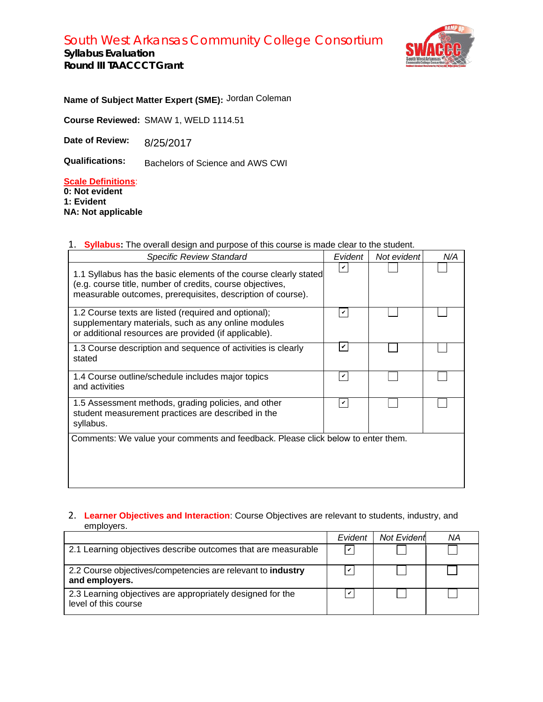# South West Arkansas Community College Consortium

**Syllabus Evaluation Round III TAACCCT Grant**



**Name of Subject Matter Expert (SME):**  Jordan Coleman

**Course Reviewed:**  SMAW 1, WELD 1114.51

**Date of Review:** 

**Qualifications:** 8/25/2017<br>Bachelors of Science and AWS CWI

## **Scale Definitions**:

**0: Not evident 1: Evident NA: Not applicable**

## 1. **Syllabus:** The overall design and purpose of this course is made clear to the student.

| <b>Specific Review Standard</b>                                                                                                                                                              | Evident        | Not evident | N/A |
|----------------------------------------------------------------------------------------------------------------------------------------------------------------------------------------------|----------------|-------------|-----|
| 1.1 Syllabus has the basic elements of the course clearly stated<br>(e.g. course title, number of credits, course objectives,<br>measurable outcomes, prerequisites, description of course). | $\mathbf{v}$   |             |     |
| 1.2 Course texts are listed (required and optional);<br>supplementary materials, such as any online modules<br>or additional resources are provided (if applicable).                         | $\vert\!\vert$ |             |     |
| 1.3 Course description and sequence of activities is clearly<br>stated                                                                                                                       | $\mathbf v$    |             |     |
| 1.4 Course outline/schedule includes major topics<br>and activities                                                                                                                          | $\mathbf{v}$   |             |     |
| 1.5 Assessment methods, grading policies, and other<br>student measurement practices are described in the<br>syllabus.                                                                       | $\vert\!\vert$ |             |     |
| Comments: We value your comments and feedback. Please click below to enter them.                                                                                                             |                |             |     |
|                                                                                                                                                                                              |                |             |     |

### 2. **Learner Objectives and Interaction**: Course Objectives are relevant to students, industry, and employers.

|                                                                                    | Evident     | <b>Not Evident</b> | ΝA |
|------------------------------------------------------------------------------------|-------------|--------------------|----|
| 2.1 Learning objectives describe outcomes that are measurable                      | $\mathbf v$ |                    |    |
| 2.2 Course objectives/competencies are relevant to industry<br>and employers.      | v           |                    |    |
| 2.3 Learning objectives are appropriately designed for the<br>level of this course |             |                    |    |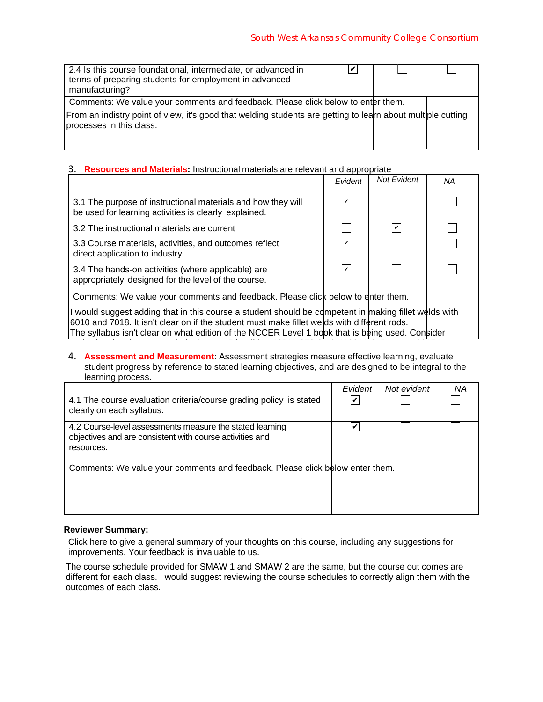| 2.4 Is this course foundational, intermediate, or advanced in<br>terms of preparing students for employment in advanced<br>manufacturing? |  |  |
|-------------------------------------------------------------------------------------------------------------------------------------------|--|--|
| Comments: We value your comments and feedback. Please click below to enter them.                                                          |  |  |
| From an indistry point of view, it's good that welding students are detting to learn about mult ple cutting<br>processes in this class.   |  |  |
|                                                                                                                                           |  |  |

#### 3. **Resources and Materials:** Instructional materials are relevant and appropriate

|                                                                                                                                                                                                     | Evident | Not Evident | ΝA |
|-----------------------------------------------------------------------------------------------------------------------------------------------------------------------------------------------------|---------|-------------|----|
| 3.1 The purpose of instructional materials and how they will<br>be used for learning activities is clearly explained.                                                                               | v       |             |    |
| 3.2 The instructional materials are current                                                                                                                                                         |         | v           |    |
| 3.3 Course materials, activities, and outcomes reflect<br>direct application to industry                                                                                                            | ✓       |             |    |
| 3.4 The hands-on activities (where applicable) are<br>appropriately designed for the level of the course.                                                                                           | ✓       |             |    |
| Comments: We value your comments and feedback. Please click below to enter them.                                                                                                                    |         |             |    |
| I would suggest adding that in this course a student should be competent in making fillet welds with<br>6010 and 7018. It isn't clear on if the student must make fillet welds with different rods. |         |             |    |
| The syllabus isn't clear on what edition of the NCCER Level 1 bobk that is being used. Consider                                                                                                     |         |             |    |

4. **Assessment and Measurement**: Assessment strategies measure effective learning, evaluate student progress by reference to stated learning objectives, and are designed to be integral to the learning process.

reviewing the changes made in the new 5th edition. ISBN: 978-0-13-416311-6, Pearson 2015

|                                                                                                                                    | Evident | Not evident | ΝA |
|------------------------------------------------------------------------------------------------------------------------------------|---------|-------------|----|
| 4.1 The course evaluation criteria/course grading policy is stated<br>clearly on each syllabus.                                    |         |             |    |
| 4.2 Course-level assessments measure the stated learning<br>objectives and are consistent with course activities and<br>resources. | v       |             |    |
| Comments: We value your comments and feedback. Please click below enter them.                                                      |         |             |    |

#### **Reviewer Summary:**

Click here to give a general summary of your thoughts on this course, including any suggestions for improvements. Your feedback is invaluable to us.

The course schedule provided for SMAW 1 and SMAW 2 are the same, but the course out comes are different for each class. I would suggest reviewing the course schedules to correctly align them with the outcomes of each class.